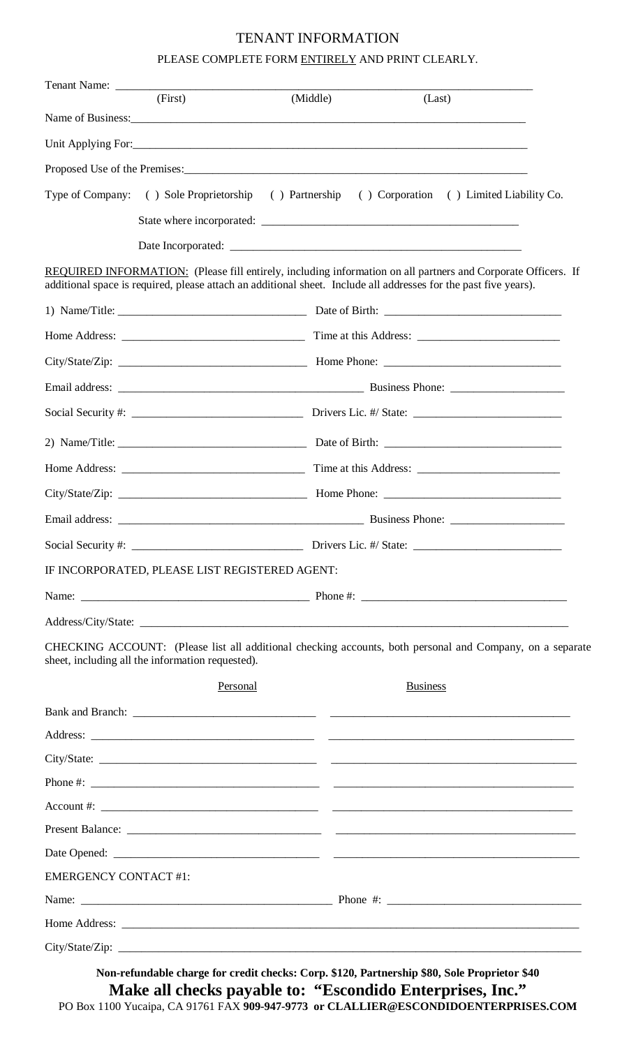## TENANT INFORMATION

## PLEASE COMPLETE FORM ENTIRELY AND PRINT CLEARLY.

|                              | (First)                                          | (Middle)                                       | (Last)                                                                                                                                                                                                                            |  |  |
|------------------------------|--------------------------------------------------|------------------------------------------------|-----------------------------------------------------------------------------------------------------------------------------------------------------------------------------------------------------------------------------------|--|--|
|                              |                                                  | Name of Business:                              |                                                                                                                                                                                                                                   |  |  |
|                              |                                                  |                                                |                                                                                                                                                                                                                                   |  |  |
|                              |                                                  |                                                |                                                                                                                                                                                                                                   |  |  |
|                              |                                                  |                                                | Type of Company: () Sole Proprietorship () Partnership () Corporation () Limited Liability Co.                                                                                                                                    |  |  |
|                              |                                                  |                                                |                                                                                                                                                                                                                                   |  |  |
|                              |                                                  |                                                |                                                                                                                                                                                                                                   |  |  |
|                              |                                                  |                                                | REQUIRED INFORMATION: (Please fill entirely, including information on all partners and Corporate Officers. If<br>additional space is required, please attach an additional sheet. Include all addresses for the past five years). |  |  |
|                              |                                                  |                                                |                                                                                                                                                                                                                                   |  |  |
|                              |                                                  |                                                |                                                                                                                                                                                                                                   |  |  |
|                              |                                                  |                                                |                                                                                                                                                                                                                                   |  |  |
|                              |                                                  |                                                |                                                                                                                                                                                                                                   |  |  |
|                              |                                                  |                                                |                                                                                                                                                                                                                                   |  |  |
|                              |                                                  |                                                |                                                                                                                                                                                                                                   |  |  |
|                              |                                                  |                                                |                                                                                                                                                                                                                                   |  |  |
|                              |                                                  |                                                |                                                                                                                                                                                                                                   |  |  |
|                              |                                                  |                                                |                                                                                                                                                                                                                                   |  |  |
| Social Security #:           |                                                  |                                                | Drivers Lic. #/ State:                                                                                                                                                                                                            |  |  |
|                              |                                                  | IF INCORPORATED, PLEASE LIST REGISTERED AGENT: |                                                                                                                                                                                                                                   |  |  |
|                              |                                                  |                                                |                                                                                                                                                                                                                                   |  |  |
|                              |                                                  |                                                |                                                                                                                                                                                                                                   |  |  |
|                              | sheet, including all the information requested). |                                                | CHECKING ACCOUNT: (Please list all additional checking accounts, both personal and Company, on a separate                                                                                                                         |  |  |
|                              |                                                  | Personal                                       | <b>Business</b>                                                                                                                                                                                                                   |  |  |
|                              |                                                  |                                                |                                                                                                                                                                                                                                   |  |  |
|                              |                                                  |                                                |                                                                                                                                                                                                                                   |  |  |
|                              |                                                  |                                                |                                                                                                                                                                                                                                   |  |  |
|                              |                                                  |                                                |                                                                                                                                                                                                                                   |  |  |
|                              |                                                  |                                                |                                                                                                                                                                                                                                   |  |  |
|                              |                                                  |                                                |                                                                                                                                                                                                                                   |  |  |
|                              |                                                  |                                                |                                                                                                                                                                                                                                   |  |  |
| <b>EMERGENCY CONTACT #1:</b> |                                                  |                                                |                                                                                                                                                                                                                                   |  |  |
|                              |                                                  |                                                |                                                                                                                                                                                                                                   |  |  |
|                              |                                                  |                                                |                                                                                                                                                                                                                                   |  |  |
|                              |                                                  |                                                |                                                                                                                                                                                                                                   |  |  |

**Make all checks payable to: "Escondido Enterprises, Inc."**  PO Box 1100 Yucaipa, CA 91761 FAX **909-947-9773 or CLALLIER@ESCONDIDOENTERPRISES.COM Non-refundable charge for credit checks: Corp. \$120, Partnership \$80, Sole Proprietor \$40**